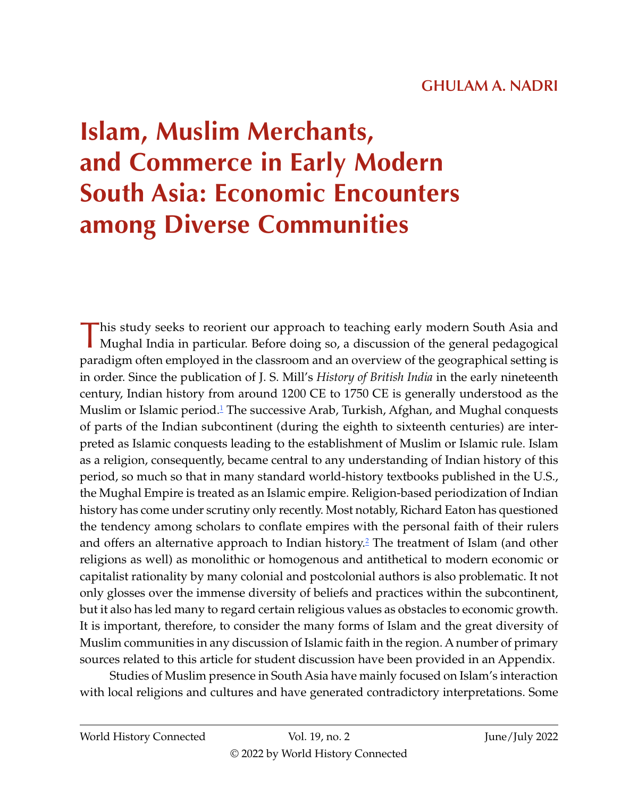# **GHULAM A. NADRI**

# <span id="page-0-0"></span>**Islam, Muslim Merchants, and Commerce in Early Modern South Asia: Economic Encounters among Diverse Communities**

This study seeks to reorient our approach to teaching early modern South Asia and Mughal India in particular. Before doing so, a discussion of the general pedagogical paradigm often employed in the classroom and an overview of the geographical setting is in order. Since the publication of J. S. Mill's *History of British India* in the early nineteenth century, Indian history from around 1200 CE to 1750 CE is generally understood as the Muslim or Islamic period.<sup>1</sup> The successive Arab, Turkish, Afghan, and Mughal conquests of parts of the Indian subcontinent (during the eighth to sixteenth centuries) are interpreted as Islamic conquests leading to the establishment of Muslim or Islamic rule. Islam as a religion, consequently, became central to any understanding of Indian history of this period, so much so that in many standard world-history textbooks published in the U.S., the Mughal Empire is treated as an Islamic empire. Religion-based periodization of Indian history has come under scrutiny only recently. Most notably, Richard Eaton has questioned the tendency among scholars to conflate empires with the personal faith of their rulers and offers an alternative approach to Indian history.<sup>[2](#page-13-0)</sup> The treatment of Islam (and other religions as well) as monolithic or homogenous and antithetical to modern economic or capitalist rationality by many colonial and postcolonial authors is also problematic. It not only glosses over the immense diversity of beliefs and practices within the subcontinent, but it also has led many to regard certain religious values as obstacles to economic growth. It is important, therefore, to consider the many forms of Islam and the great diversity of Muslim communities in any discussion of Islamic faith in the region. A number of primary sources related to this article for student discussion have been provided in an Appendix.

Studies of Muslim presence in South Asia have mainly focused on Islam's interaction with local religions and cultures and have generated contradictory interpretations. Some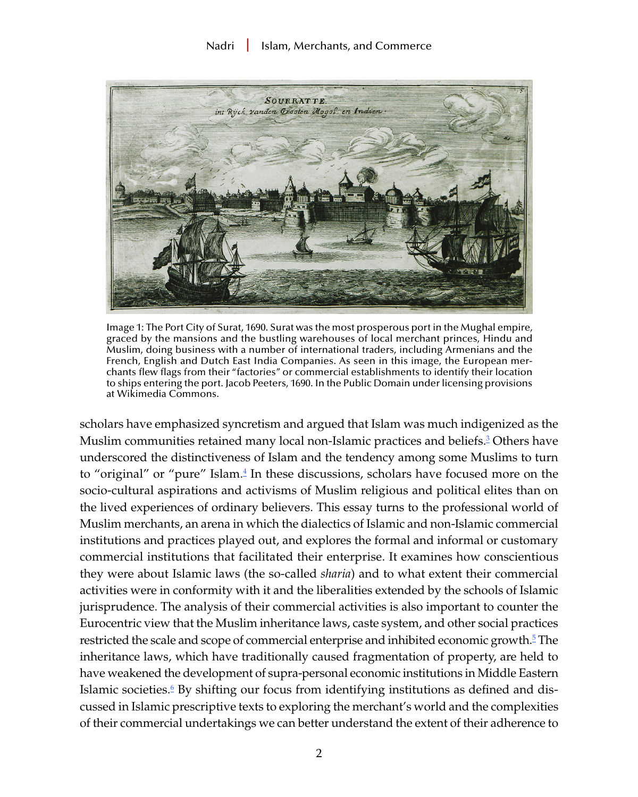#### Nadri | Islam, Merchants, and Commerce

<span id="page-1-0"></span>

Image 1: The Port City of Surat, 1690. Surat was the most prosperous port in the Mughal empire, graced by the mansions and the bustling warehouses of local merchant princes, Hindu and Muslim, doing business with a number of international traders, including Armenians and the French, English and Dutch East India Companies. As seen in this image, the European merchants flew flags from their "factories" or commercial establishments to identify their location to ships entering the port. Jacob Peeters, 1690. In the Public Domain under licensing provisions at Wikimedia Commons.

scholars have emphasized syncretism and argued that Islam was much indigenized as the Muslim communities retained many local non-Islamic practices and beliefs.<sup>[3](#page-13-0)</sup> Others have underscored the distinctiveness of Islam and the tendency among some Muslims to turn to "original" or "pure" Islam.<sup>[4](#page-13-0)</sup> In these discussions, scholars have focused more on the socio-cultural aspirations and activisms of Muslim religious and political elites than on the lived experiences of ordinary believers. This essay turns to the professional world of Muslim merchants, an arena in which the dialectics of Islamic and non-Islamic commercial institutions and practices played out, and explores the formal and informal or customary commercial institutions that facilitated their enterprise. It examines how conscientious they were about Islamic laws (the so-called *sharia*) and to what extent their commercial activities were in conformity with it and the liberalities extended by the schools of Islamic jurisprudence. The analysis of their commercial activities is also important to counter the Eurocentric view that the Muslim inheritance laws, caste system, and other social practices restricted the scale and scope of commercial enterprise and inhibited economic growth.<sup>[5](#page-13-0)</sup> The inheritance laws, which have traditionally caused fragmentation of property, are held to have weakened the development of supra-personal economic institutions in Middle Eastern Islamic societies.<sup>[6](#page-13-0)</sup> By shifting our focus from identifying institutions as defined and discussed in Islamic prescriptive texts to exploring the merchant's world and the complexities of their commercial undertakings we can better understand the extent of their adherence to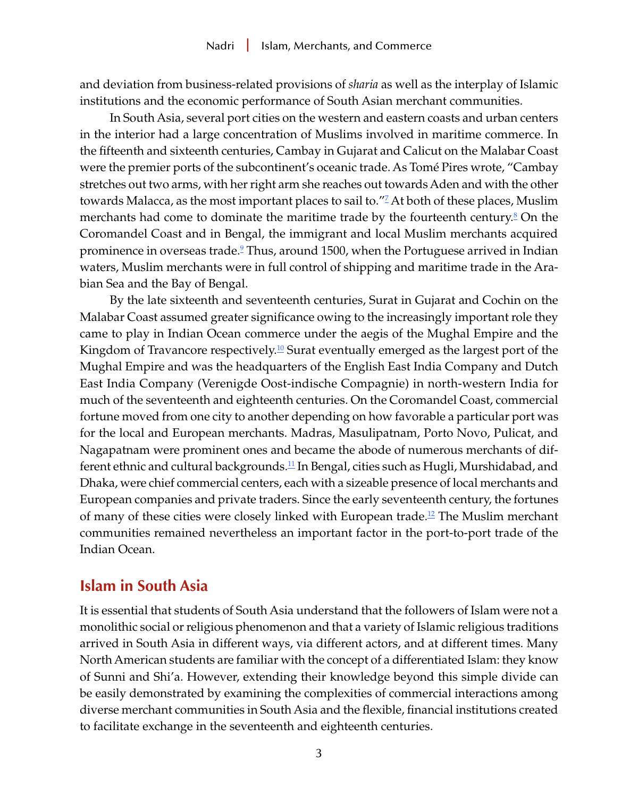<span id="page-2-0"></span>and deviation from business-related provisions of *sharia* as well as the interplay of Islamic institutions and the economic performance of South Asian merchant communities.

In South Asia, several port cities on the western and eastern coasts and urban centers in the interior had a large concentration of Muslims involved in maritime commerce. In the fifteenth and sixteenth centuries, Cambay in Gujarat and Calicut on the Malabar Coast were the premier ports of the subcontinent's oceanic trade. As Tomé Pires wrote, "Cambay stretches out two arms, with her right arm she reaches out towards Aden and with the other towards Malacca, as the most important places to sail to."<sup>[7](#page-13-0)</sup> At both of these places, Muslim merchants had come to dominate the maritime trade by the fourteenth century. $8$  On the Coromandel Coast and in Bengal, the immigrant and local Muslim merchants acquired prominence in overseas trade.<sup>[9](#page-13-0)</sup> Thus, around 1500, when the Portuguese arrived in Indian waters, Muslim merchants were in full control of shipping and maritime trade in the Arabian Sea and the Bay of Bengal.

By the late sixteenth and seventeenth centuries, Surat in Gujarat and Cochin on the Malabar Coast assumed greater significance owing to the increasingly important role they came to play in Indian Ocean commerce under the aegis of the Mughal Empire and the Kingdom of Travancore respectively.<sup>[10](#page-13-0)</sup> Surat eventually emerged as the largest port of the Mughal Empire and was the headquarters of the English East India Company and Dutch East India Company (Verenigde Oost-indische Compagnie) in north-western India for much of the seventeenth and eighteenth centuries. On the Coromandel Coast, commercial fortune moved from one city to another depending on how favorable a particular port was for the local and European merchants. Madras, Masulipatnam, Porto Novo, Pulicat, and Nagapatnam were prominent ones and became the abode of numerous merchants of dif-ferent ethnic and cultural backgrounds.<sup>[11](#page-13-0)</sup> In Bengal, cities such as Hugli, Murshidabad, and Dhaka, were chief commercial centers, each with a sizeable presence of local merchants and European companies and private traders. Since the early seventeenth century, the fortunes of many of these cities were closely linked with European trade.<sup>12</sup> The Muslim merchant communities remained nevertheless an important factor in the port-to-port trade of the Indian Ocean.

## **Islam in South Asia**

It is essential that students of South Asia understand that the followers of Islam were not a monolithic social or religious phenomenon and that a variety of Islamic religious traditions arrived in South Asia in different ways, via different actors, and at different times. Many North American students are familiar with the concept of a differentiated Islam: they know of Sunni and Shi'a. However, extending their knowledge beyond this simple divide can be easily demonstrated by examining the complexities of commercial interactions among diverse merchant communities in South Asia and the flexible, financial institutions created to facilitate exchange in the seventeenth and eighteenth centuries.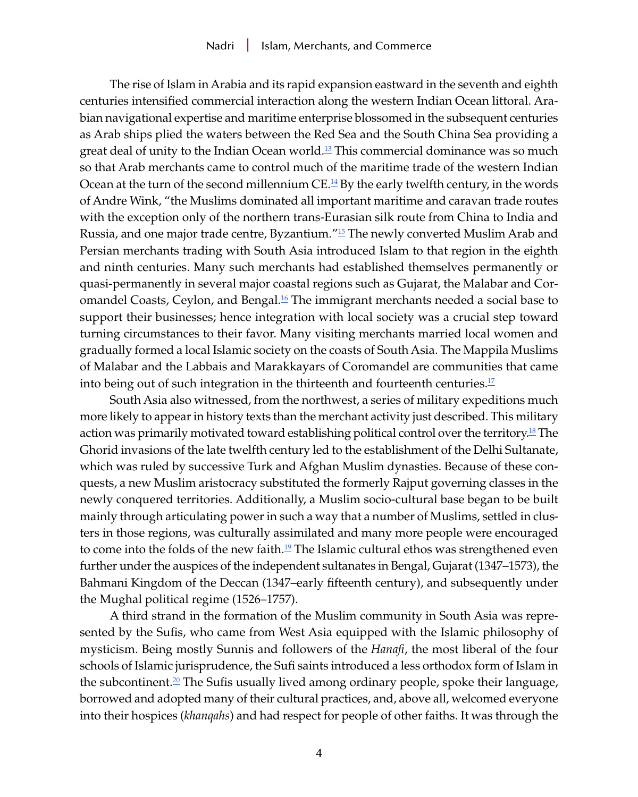<span id="page-3-0"></span>The rise of Islam in Arabia and its rapid expansion eastward in the seventh and eighth centuries intensified commercial interaction along the western Indian Ocean littoral. Arabian navigational expertise and maritime enterprise blossomed in the subsequent centuries as Arab ships plied the waters between the Red Sea and the South China Sea providing a great deal of unity to the Indian Ocean world.<sup>13</sup> This commercial dominance was so much so that Arab merchants came to control much of the maritime trade of the western Indian Ocean at the turn of the second millennium  $CE.\frac{14}{2}$  By the early twelfth century, in the words of Andre Wink, "the Muslims dominated all important maritime and caravan trade routes with the exception only of the northern trans-Eurasian silk route from China to India and Russia, and one major trade centre, Byzantium.<sup> $n_{15}$ </sup> The newly converted Muslim Arab and Persian merchants trading with South Asia introduced Islam to that region in the eighth and ninth centuries. Many such merchants had established themselves permanently or quasi-permanently in several major coastal regions such as Gujarat, the Malabar and Cor-omandel Coasts, Ceylon, and Bengal.<sup>[16](#page-14-0)</sup> The immigrant merchants needed a social base to support their businesses; hence integration with local society was a crucial step toward turning circumstances to their favor. Many visiting merchants married local women and gradually formed a local Islamic society on the coasts of South Asia. The Mappila Muslims of Malabar and the Labbais and Marakkayars of Coromandel are communities that came into being out of such integration in the thirteenth and fourteenth centuries. $17$ 

South Asia also witnessed, from the northwest, a series of military expeditions much more likely to appear in history texts than the merchant activity just described. This military action was primarily motivated toward establishing political control over the territory.<sup>18</sup> The Ghorid invasions of the late twelfth century led to the establishment of the Delhi Sultanate, which was ruled by successive Turk and Afghan Muslim dynasties. Because of these conquests, a new Muslim aristocracy substituted the formerly Rajput governing classes in the newly conquered territories. Additionally, a Muslim socio-cultural base began to be built mainly through articulating power in such a way that a number of Muslims, settled in clusters in those regions, was culturally assimilated and many more people were encouraged to come into the folds of the new faith.<sup>[19](#page-14-0)</sup> The Islamic cultural ethos was strengthened even further under the auspices of the independent sultanates in Bengal, Gujarat (1347–1573), the Bahmani Kingdom of the Deccan (1347–early fifteenth century), and subsequently under the Mughal political regime (1526–1757).

A third strand in the formation of the Muslim community in South Asia was represented by the Sufis, who came from West Asia equipped with the Islamic philosophy of mysticism. Being mostly Sunnis and followers of the *Hanafi*, the most liberal of the four schools of Islamic jurisprudence, the Sufi saints introduced a less orthodox form of Islam in the subcontinent.<sup>[20](#page-14-0)</sup> The Sufis usually lived among ordinary people, spoke their language, borrowed and adopted many of their cultural practices, and, above all, welcomed everyone into their hospices (*khanqahs*) and had respect for people of other faiths. It was through the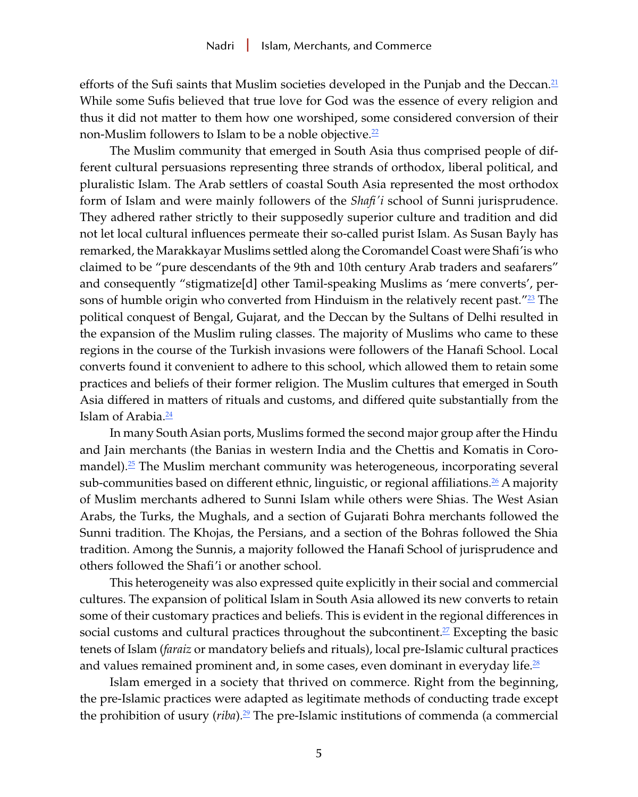<span id="page-4-0"></span>efforts of the Sufi saints that Muslim societies developed in the Punjab and the Deccan. $21$ While some Sufis believed that true love for God was the essence of every religion and thus it did not matter to them how one worshiped, some considered conversion of their non-Muslim followers to Islam to be a noble objective. $\frac{22}{5}$ 

The Muslim community that emerged in South Asia thus comprised people of different cultural persuasions representing three strands of orthodox, liberal political, and pluralistic Islam. The Arab settlers of coastal South Asia represented the most orthodox form of Islam and were mainly followers of the *Shafi'i* school of Sunni jurisprudence. They adhered rather strictly to their supposedly superior culture and tradition and did not let local cultural influences permeate their so-called purist Islam. As Susan Bayly has remarked, the Marakkayar Muslims settled along the Coromandel Coast were Shafi'is who claimed to be "pure descendants of the 9th and 10th century Arab traders and seafarers" and consequently "stigmatize[d] other Tamil-speaking Muslims as 'mere converts', persons of humble origin who converted from Hinduism in the relatively recent past." $23$  The political conquest of Bengal, Gujarat, and the Deccan by the Sultans of Delhi resulted in the expansion of the Muslim ruling classes. The majority of Muslims who came to these regions in the course of the Turkish invasions were followers of the Hanafi School. Local converts found it convenient to adhere to this school, which allowed them to retain some practices and beliefs of their former religion. The Muslim cultures that emerged in South Asia differed in matters of rituals and customs, and differed quite substantially from the Islam of Arabia.<sup>24</sup>

In many South Asian ports, Muslims formed the second major group after the Hindu and Jain merchants (the Banias in western India and the Chettis and Komatis in Coromandel).[25](#page-14-0) The Muslim merchant community was heterogeneous, incorporating several sub-communities based on different ethnic, linguistic, or regional affiliations.<sup>[26](#page-14-0)</sup> A majority of Muslim merchants adhered to Sunni Islam while others were Shias. The West Asian Arabs, the Turks, the Mughals, and a section of Gujarati Bohra merchants followed the Sunni tradition. The Khojas, the Persians, and a section of the Bohras followed the Shia tradition. Among the Sunnis, a majority followed the Hanafi School of jurisprudence and others followed the Shafi'i or another school.

This heterogeneity was also expressed quite explicitly in their social and commercial cultures. The expansion of political Islam in South Asia allowed its new converts to retain some of their customary practices and beliefs. This is evident in the regional differences in social customs and cultural practices throughout the subcontinent.<sup>27</sup> Excepting the basic tenets of Islam (*faraiz* or mandatory beliefs and rituals), local pre-Islamic cultural practices and values remained prominent and, in some cases, even dominant in everyday life.<sup>[28](#page-15-0)</sup>

Islam emerged in a society that thrived on commerce. Right from the beginning, the pre-Islamic practices were adapted as legitimate methods of conducting trade except the prohibition of usury (*riba*)[.29](#page-15-0) The pre-Islamic institutions of commenda (a commercial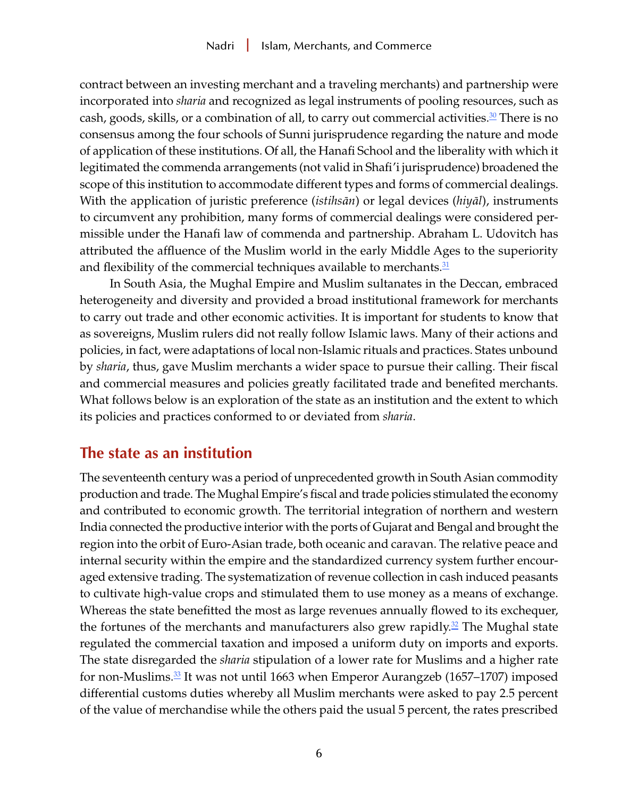<span id="page-5-0"></span>contract between an investing merchant and a traveling merchants) and partnership were incorporated into *sharia* and recognized as legal instruments of pooling resources, such as cash, goods, skills, or a combination of all, to carry out commercial activities. $\mathbb{S}^{\Omega}$  There is no consensus among the four schools of Sunni jurisprudence regarding the nature and mode of application of these institutions. Of all, the Hanafi School and the liberality with which it legitimated the commenda arrangements (not valid in Shafi'i jurisprudence) broadened the scope of this institution to accommodate different types and forms of commercial dealings. With the application of juristic preference (*istihsān*) or legal devices (*hiyāl*), instruments to circumvent any prohibition, many forms of commercial dealings were considered permissible under the Hanafi law of commenda and partnership. Abraham L. Udovitch has attributed the affluence of the Muslim world in the early Middle Ages to the superiority and flexibility of the commercial techniques available to merchants. $31$ 

In South Asia, the Mughal Empire and Muslim sultanates in the Deccan, embraced heterogeneity and diversity and provided a broad institutional framework for merchants to carry out trade and other economic activities. It is important for students to know that as sovereigns, Muslim rulers did not really follow Islamic laws. Many of their actions and policies, in fact, were adaptations of local non-Islamic rituals and practices. States unbound by *sharia*, thus, gave Muslim merchants a wider space to pursue their calling. Their fiscal and commercial measures and policies greatly facilitated trade and benefited merchants. What follows below is an exploration of the state as an institution and the extent to which its policies and practices conformed to or deviated from *sharia*.

## **The state as an institution**

The seventeenth century was a period of unprecedented growth in South Asian commodity production and trade. The Mughal Empire's fiscal and trade policies stimulated the economy and contributed to economic growth. The territorial integration of northern and western India connected the productive interior with the ports of Gujarat and Bengal and brought the region into the orbit of Euro-Asian trade, both oceanic and caravan. The relative peace and internal security within the empire and the standardized currency system further encouraged extensive trading. The systematization of revenue collection in cash induced peasants to cultivate high-value crops and stimulated them to use money as a means of exchange. Whereas the state benefitted the most as large revenues annually flowed to its exchequer, the fortunes of the merchants and manufacturers also grew rapidly. $\frac{32}{2}$  The Mughal state regulated the commercial taxation and imposed a uniform duty on imports and exports. The state disregarded the *sharia* stipulation of a lower rate for Muslims and a higher rate for non-Muslims.[33](#page-15-0) It was not until 1663 when Emperor Aurangzeb (1657–1707) imposed differential customs duties whereby all Muslim merchants were asked to pay 2.5 percent of the value of merchandise while the others paid the usual 5 percent, the rates prescribed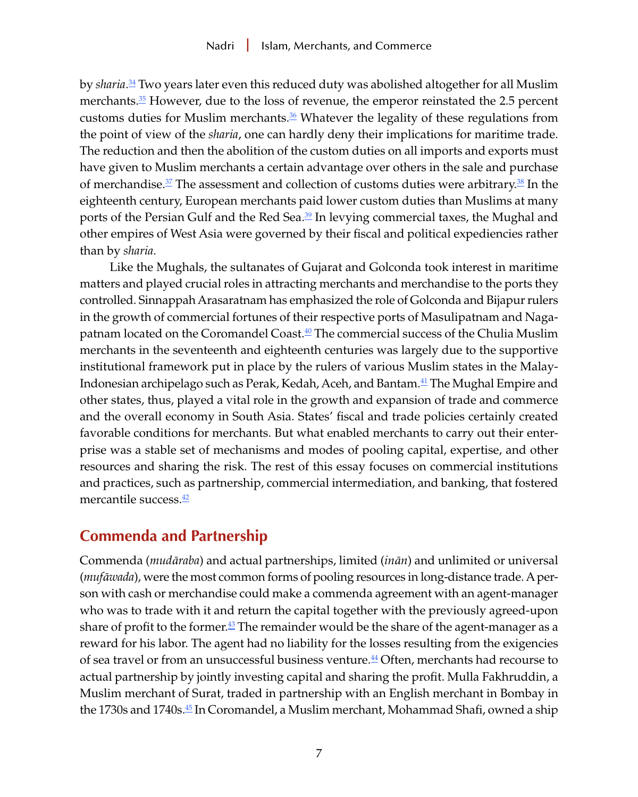<span id="page-6-0"></span>by *sharia*. [34](#page-15-0) Two years later even this reduced duty was abolished altogether for all Muslim merchants[.35](#page-15-0) However, due to the loss of revenue, the emperor reinstated the 2.5 percent customs duties for Muslim merchants. $\frac{36}{5}$  Whatever the legality of these regulations from the point of view of the *sharia*, one can hardly deny their implications for maritime trade. The reduction and then the abolition of the custom duties on all imports and exports must have given to Muslim merchants a certain advantage over others in the sale and purchase of merchandise.<sup>37</sup> The assessment and collection of customs duties were arbitrary.<sup>[38](#page-15-0)</sup> In the eighteenth century, European merchants paid lower custom duties than Muslims at many ports of the Persian Gulf and the Red Sea.<sup>39</sup> In levying commercial taxes, the Mughal and other empires of West Asia were governed by their fiscal and political expediencies rather than by *sharia*.

Like the Mughals, the sultanates of Gujarat and Golconda took interest in maritime matters and played crucial roles in attracting merchants and merchandise to the ports they controlled. Sinnappah Arasaratnam has emphasized the role of Golconda and Bijapur rulers in the growth of commercial fortunes of their respective ports of Masulipatnam and Naga-patnam located on the Coromandel Coast.<sup>[40](#page-16-0)</sup> The commercial success of the Chulia Muslim merchants in the seventeenth and eighteenth centuries was largely due to the supportive institutional framework put in place by the rulers of various Muslim states in the Malay-Indonesian archipelago such as Perak, Kedah, Aceh, and Bantam.[41](#page-16-0) The Mughal Empire and other states, thus, played a vital role in the growth and expansion of trade and commerce and the overall economy in South Asia. States' fiscal and trade policies certainly created favorable conditions for merchants. But what enabled merchants to carry out their enterprise was a stable set of mechanisms and modes of pooling capital, expertise, and other resources and sharing the risk. The rest of this essay focuses on commercial institutions and practices, such as partnership, commercial intermediation, and banking, that fostered mercantile success. $\frac{42}{5}$ 

# **Commenda and Partnership**

Commenda (*mudāraba*) and actual partnerships, limited (*inān*) and unlimited or universal (*mufāwada*), were the most common forms of pooling resources in long-distance trade. A person with cash or merchandise could make a commenda agreement with an agent-manager who was to trade with it and return the capital together with the previously agreed-upon share of profit to the former. $\frac{43}{5}$  $\frac{43}{5}$  $\frac{43}{5}$  The remainder would be the share of the agent-manager as a reward for his labor. The agent had no liability for the losses resulting from the exigencies of sea travel or from an unsuccessful business venture. $44$  Often, merchants had recourse to actual partnership by jointly investing capital and sharing the profit. Mulla Fakhruddin, a Muslim merchant of Surat, traded in partnership with an English merchant in Bombay in the 1730s and 1740s[.45](#page-16-0) In Coromandel, a Muslim merchant, Mohammad Shafi, owned a ship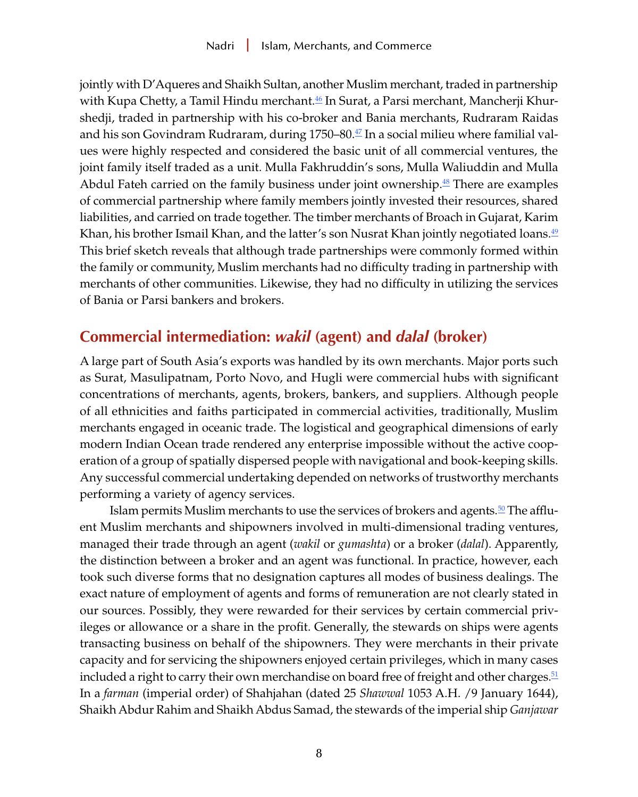<span id="page-7-0"></span>jointly with D'Aqueres and Shaikh Sultan, another Muslim merchant, traded in partnership with Kupa Chetty, a Tamil Hindu merchant. $46$  In Surat, a Parsi merchant, Mancherji Khurshedji, traded in partnership with his co-broker and Bania merchants, Rudraram Raidas and his son Govindram Rudraram, during 1750–80[.47](#page-16-0) In a social milieu where familial values were highly respected and considered the basic unit of all commercial ventures, the joint family itself traded as a unit. Mulla Fakhruddin's sons, Mulla Waliuddin and Mulla Abdul Fateh carried on the family business under joint ownership.<sup>48</sup> There are examples of commercial partnership where family members jointly invested their resources, shared liabilities, and carried on trade together. The timber merchants of Broach in Gujarat, Karim Khan, his brother Ismail Khan, and the latter's son Nusrat Khan jointly negotiated loans.<sup>[49](#page-16-0)</sup> This brief sketch reveals that although trade partnerships were commonly formed within the family or community, Muslim merchants had no difficulty trading in partnership with merchants of other communities. Likewise, they had no difficulty in utilizing the services of Bania or Parsi bankers and brokers.

# **Commercial intermediation:** *wakil* **(agent) and** *dalal* **(broker)**

A large part of South Asia's exports was handled by its own merchants. Major ports such as Surat, Masulipatnam, Porto Novo, and Hugli were commercial hubs with significant concentrations of merchants, agents, brokers, bankers, and suppliers. Although people of all ethnicities and faiths participated in commercial activities, traditionally, Muslim merchants engaged in oceanic trade. The logistical and geographical dimensions of early modern Indian Ocean trade rendered any enterprise impossible without the active cooperation of a group of spatially dispersed people with navigational and book-keeping skills. Any successful commercial undertaking depended on networks of trustworthy merchants performing a variety of agency services.

Islam permits Muslim merchants to use the services of brokers and agents. $\frac{50}{2}$  The affluent Muslim merchants and shipowners involved in multi-dimensional trading ventures, managed their trade through an agent (*wakil* or *gumashta*) or a broker (*dalal*). Apparently, the distinction between a broker and an agent was functional. In practice, however, each took such diverse forms that no designation captures all modes of business dealings. The exact nature of employment of agents and forms of remuneration are not clearly stated in our sources. Possibly, they were rewarded for their services by certain commercial privileges or allowance or a share in the profit. Generally, the stewards on ships were agents transacting business on behalf of the shipowners. They were merchants in their private capacity and for servicing the shipowners enjoyed certain privileges, which in many cases included a right to carry their own merchandise on board free of freight and other charges. $51$ In a *farman* (imperial order) of Shahjahan (dated 25 *Shawwal* 1053 A.H. /9 January 1644), Shaikh Abdur Rahim and Shaikh Abdus Samad, the stewards of the imperial ship *Ganjawar*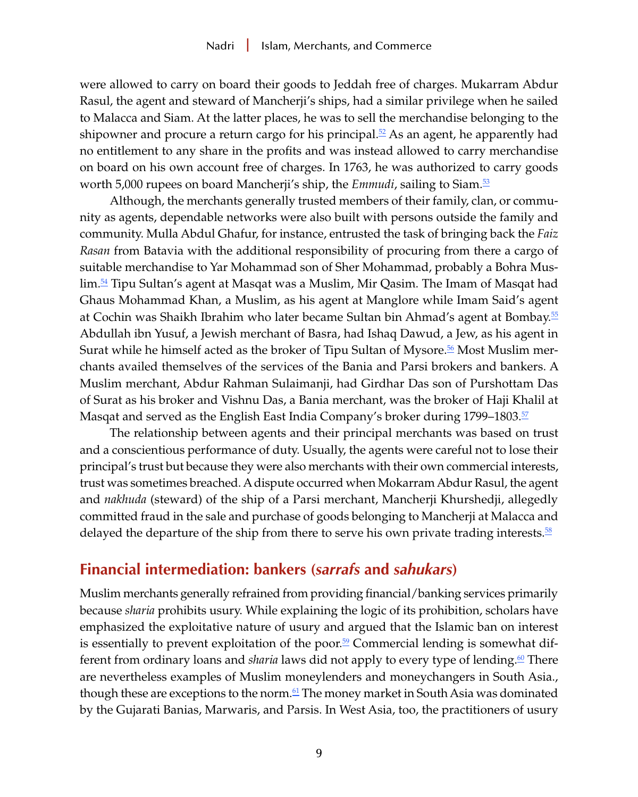<span id="page-8-0"></span>were allowed to carry on board their goods to Jeddah free of charges. Mukarram Abdur Rasul, the agent and steward of Mancherji's ships, had a similar privilege when he sailed to Malacca and Siam. At the latter places, he was to sell the merchandise belonging to the shipowner and procure a return cargo for his principal.<sup>[52](#page-16-0)</sup> As an agent, he apparently had no entitlement to any share in the profits and was instead allowed to carry merchandise on board on his own account free of charges. In 1763, he was authorized to carry goods worth 5,000 rupees on board Mancherji's ship, the *Emmudi*, sailing to Siam.[53](#page-16-0)

Although, the merchants generally trusted members of their family, clan, or community as agents, dependable networks were also built with persons outside the family and community. Mulla Abdul Ghafur, for instance, entrusted the task of bringing back the *Faiz Rasan* from Batavia with the additional responsibility of procuring from there a cargo of suitable merchandise to Yar Mohammad son of Sher Mohammad, probably a Bohra Muslim.[54](#page-16-0) Tipu Sultan's agent at Masqat was a Muslim, Mir Qasim. The Imam of Masqat had Ghaus Mohammad Khan, a Muslim, as his agent at Manglore while Imam Said's agent at Cochin was Shaikh Ibrahim who later became Sultan bin Ahmad's agent at Bombay.[55](#page-16-0) Abdullah ibn Yusuf, a Jewish merchant of Basra, had Ishaq Dawud, a Jew, as his agent in Surat while he himself acted as the broker of Tipu Sultan of Mysore.<sup>56</sup> Most Muslim merchants availed themselves of the services of the Bania and Parsi brokers and bankers. A Muslim merchant, Abdur Rahman Sulaimanji, had Girdhar Das son of Purshottam Das of Surat as his broker and Vishnu Das, a Bania merchant, was the broker of Haji Khalil at Masqat and served as the English East India Company's broker during 1799–1803.<sup>[57](#page-16-0)</sup>

The relationship between agents and their principal merchants was based on trust and a conscientious performance of duty. Usually, the agents were careful not to lose their principal's trust but because they were also merchants with their own commercial interests, trust was sometimes breached. A dispute occurred when Mokarram Abdur Rasul, the agent and *nakhuda* (steward) of the ship of a Parsi merchant, Mancherji Khurshedji, allegedly committed fraud in the sale and purchase of goods belonging to Mancherji at Malacca and delayed the departure of the ship from there to serve his own private trading interests.<sup>[58](#page-17-0)</sup>

#### **Financial intermediation: bankers (***sarrafs* **and** *sahukars***)**

Muslim merchants generally refrained from providing financial/banking services primarily because *sharia* prohibits usury. While explaining the logic of its prohibition, scholars have emphasized the exploitative nature of usury and argued that the Islamic ban on interest is essentially to prevent exploitation of the poor.<sup>59</sup> Commercial lending is somewhat different from ordinary loans and *sharia* laws did not apply to every type of lending.<sup>60</sup> There are nevertheless examples of Muslim moneylenders and moneychangers in South Asia., though these are exceptions to the norm.<sup>[61](#page-17-0)</sup> The money market in South Asia was dominated by the Gujarati Banias, Marwaris, and Parsis. In West Asia, too, the practitioners of usury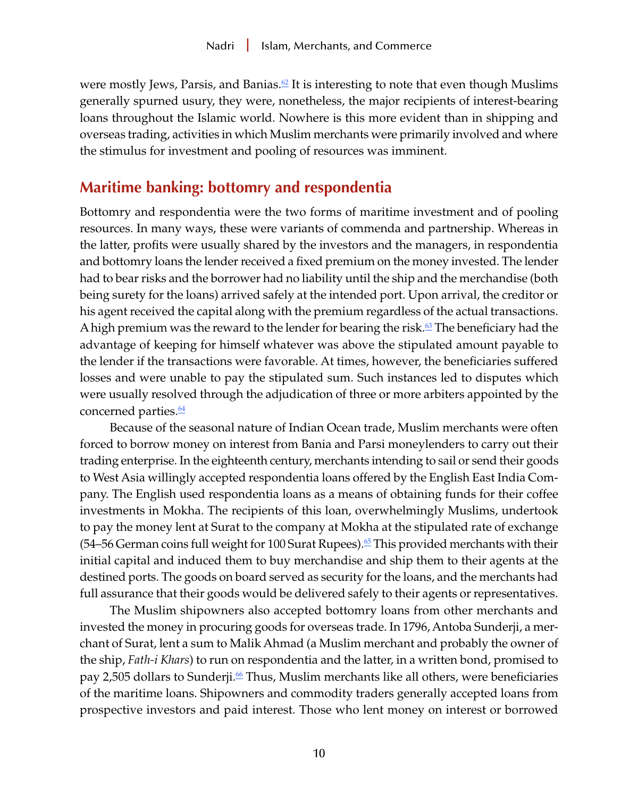<span id="page-9-0"></span>were mostly Jews, Parsis, and Banias.<sup> $\mathcal{Q}$ </sup> It is interesting to note that even though Muslims generally spurned usury, they were, nonetheless, the major recipients of interest-bearing loans throughout the Islamic world. Nowhere is this more evident than in shipping and overseas trading, activities in which Muslim merchants were primarily involved and where the stimulus for investment and pooling of resources was imminent.

#### **Maritime banking: bottomry and respondentia**

Bottomry and respondentia were the two forms of maritime investment and of pooling resources. In many ways, these were variants of commenda and partnership. Whereas in the latter, profits were usually shared by the investors and the managers, in respondentia and bottomry loans the lender received a fixed premium on the money invested. The lender had to bear risks and the borrower had no liability until the ship and the merchandise (both being surety for the loans) arrived safely at the intended port. Upon arrival, the creditor or his agent received the capital along with the premium regardless of the actual transactions. A high premium was the reward to the lender for bearing the risk.<sup>[63](#page-17-0)</sup> The beneficiary had the advantage of keeping for himself whatever was above the stipulated amount payable to the lender if the transactions were favorable. At times, however, the beneficiaries suffered losses and were unable to pay the stipulated sum. Such instances led to disputes which were usually resolved through the adjudication of three or more arbiters appointed by the concerned parties. $\frac{64}{5}$  $\frac{64}{5}$  $\frac{64}{5}$ 

Because of the seasonal nature of Indian Ocean trade, Muslim merchants were often forced to borrow money on interest from Bania and Parsi moneylenders to carry out their trading enterprise. In the eighteenth century, merchants intending to sail or send their goods to West Asia willingly accepted respondentia loans offered by the English East India Company. The English used respondentia loans as a means of obtaining funds for their coffee investments in Mokha. The recipients of this loan, overwhelmingly Muslims, undertook to pay the money lent at Surat to the company at Mokha at the stipulated rate of exchange  $(54–56$  German coins full weight for 100 Surat Rupees).<sup>[65](#page-17-0)</sup> This provided merchants with their initial capital and induced them to buy merchandise and ship them to their agents at the destined ports. The goods on board served as security for the loans, and the merchants had full assurance that their goods would be delivered safely to their agents or representatives.

The Muslim shipowners also accepted bottomry loans from other merchants and invested the money in procuring goods for overseas trade. In 1796, Antoba Sunderji, a merchant of Surat, lent a sum to Malik Ahmad (a Muslim merchant and probably the owner of the ship, *Fath-i Khars*) to run on respondentia and the latter, in a written bond, promised to pay 2,505 dollars to Sunderji.<sup>[66](#page-17-0)</sup> Thus, Muslim merchants like all others, were beneficiaries of the maritime loans. Shipowners and commodity traders generally accepted loans from prospective investors and paid interest. Those who lent money on interest or borrowed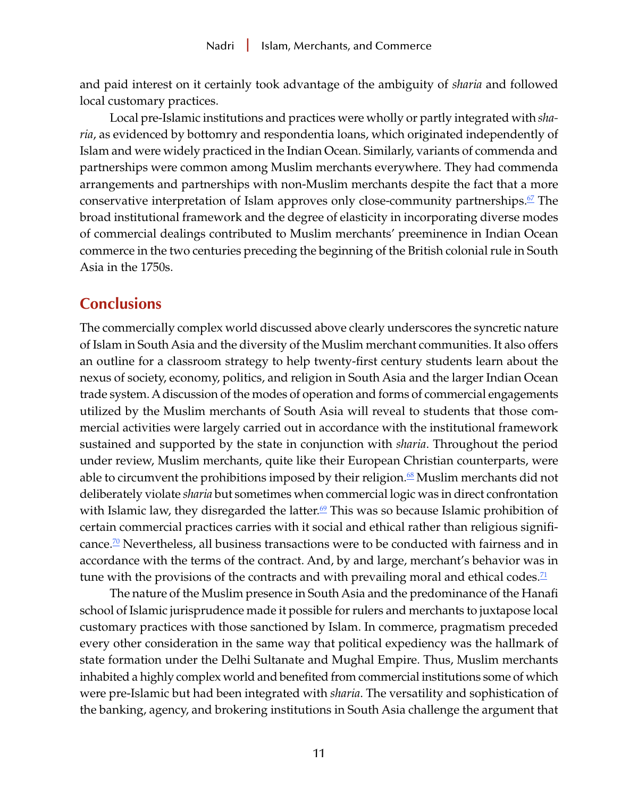<span id="page-10-0"></span>and paid interest on it certainly took advantage of the ambiguity of *sharia* and followed local customary practices.

Local pre-Islamic institutions and practices were wholly or partly integrated with *sharia*, as evidenced by bottomry and respondentia loans, which originated independently of Islam and were widely practiced in the Indian Ocean. Similarly, variants of commenda and partnerships were common among Muslim merchants everywhere. They had commenda arrangements and partnerships with non-Muslim merchants despite the fact that a more conservative interpretation of Islam approves only close-community partnerships.<sup>[67](#page-17-0)</sup> The broad institutional framework and the degree of elasticity in incorporating diverse modes of commercial dealings contributed to Muslim merchants' preeminence in Indian Ocean commerce in the two centuries preceding the beginning of the British colonial rule in South Asia in the 1750s.

## **Conclusions**

The commercially complex world discussed above clearly underscores the syncretic nature of Islam in South Asia and the diversity of the Muslim merchant communities. It also offers an outline for a classroom strategy to help twenty-first century students learn about the nexus of society, economy, politics, and religion in South Asia and the larger Indian Ocean trade system. A discussion of the modes of operation and forms of commercial engagements utilized by the Muslim merchants of South Asia will reveal to students that those commercial activities were largely carried out in accordance with the institutional framework sustained and supported by the state in conjunction with *sharia*. Throughout the period under review, Muslim merchants, quite like their European Christian counterparts, were able to circumvent the prohibitions imposed by their religion.<sup>68</sup> Muslim merchants did not deliberately violate *sharia* but sometimes when commercial logic was in direct confrontation with Islamic law, they disregarded the latter.<sup>[69](#page-17-0)</sup> This was so because Islamic prohibition of certain commercial practices carries with it social and ethical rather than religious signifi-cance.<sup>[70](#page-18-0)</sup> Nevertheless, all business transactions were to be conducted with fairness and in accordance with the terms of the contract. And, by and large, merchant's behavior was in tune with the provisions of the contracts and with prevailing moral and ethical codes.<sup>[71](#page-18-0)</sup>

The nature of the Muslim presence in South Asia and the predominance of the Hanafi school of Islamic jurisprudence made it possible for rulers and merchants to juxtapose local customary practices with those sanctioned by Islam. In commerce, pragmatism preceded every other consideration in the same way that political expediency was the hallmark of state formation under the Delhi Sultanate and Mughal Empire. Thus, Muslim merchants inhabited a highly complex world and benefited from commercial institutions some of which were pre-Islamic but had been integrated with *sharia*. The versatility and sophistication of the banking, agency, and brokering institutions in South Asia challenge the argument that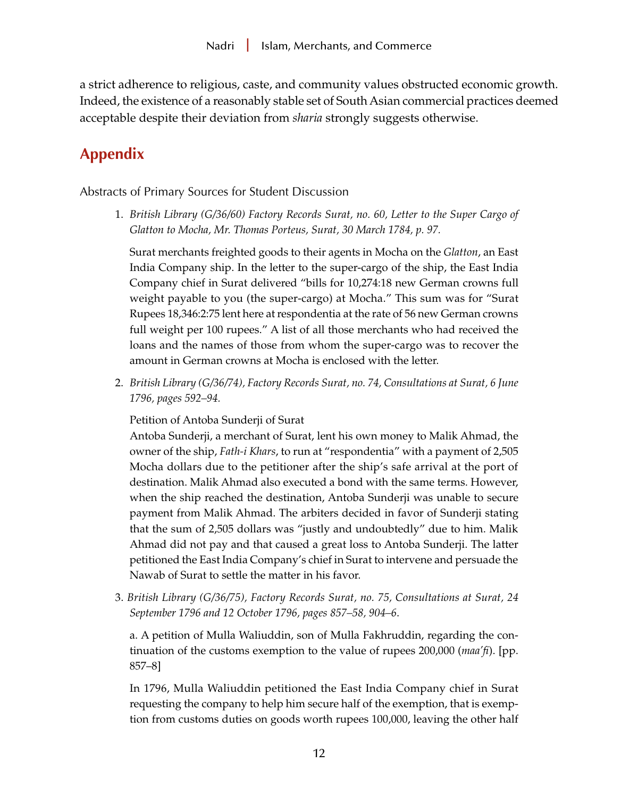a strict adherence to religious, caste, and community values obstructed economic growth. Indeed, the existence of a reasonably stable set of South Asian commercial practices deemed acceptable despite their deviation from *sharia* strongly suggests otherwise.

# **Appendix**

Abstracts of Primary Sources for Student Discussion

1. *British Library (G/36/60) Factory Records Surat, no. 60, Letter to the Super Cargo of Glatton to Mocha, Mr. Thomas Porteus, Surat, 30 March 1784, p. 97.*

Surat merchants freighted goods to their agents in Mocha on the *Glatton*, an East India Company ship. In the letter to the super-cargo of the ship, the East India Company chief in Surat delivered "bills for 10,274:18 new German crowns full weight payable to you (the super-cargo) at Mocha." This sum was for "Surat Rupees 18,346:2:75 lent here at respondentia at the rate of 56 new German crowns full weight per 100 rupees." A list of all those merchants who had received the loans and the names of those from whom the super-cargo was to recover the amount in German crowns at Mocha is enclosed with the letter.

2. *British Library (G/36/74), Factory Records Surat, no. 74, Consultations at Surat, 6 June 1796, pages 592–94.*

Petition of Antoba Sunderji of Surat

Antoba Sunderji, a merchant of Surat, lent his own money to Malik Ahmad, the owner of the ship, *Fath-i Khars*, to run at "respondentia" with a payment of 2,505 Mocha dollars due to the petitioner after the ship's safe arrival at the port of destination. Malik Ahmad also executed a bond with the same terms. However, when the ship reached the destination, Antoba Sunderji was unable to secure payment from Malik Ahmad. The arbiters decided in favor of Sunderji stating that the sum of 2,505 dollars was "justly and undoubtedly" due to him. Malik Ahmad did not pay and that caused a great loss to Antoba Sunderji. The latter petitioned the East India Company's chief in Surat to intervene and persuade the Nawab of Surat to settle the matter in his favor.

3. *British Library (G/36/75), Factory Records Surat, no. 75, Consultations at Surat, 24 September 1796 and 12 October 1796, pages 857–58, 904–6*.

a. A petition of Mulla Waliuddin, son of Mulla Fakhruddin, regarding the continuation of the customs exemption to the value of rupees 200,000 (*maa'fi*). [pp. 857–8]

In 1796, Mulla Waliuddin petitioned the East India Company chief in Surat requesting the company to help him secure half of the exemption, that is exemption from customs duties on goods worth rupees 100,000, leaving the other half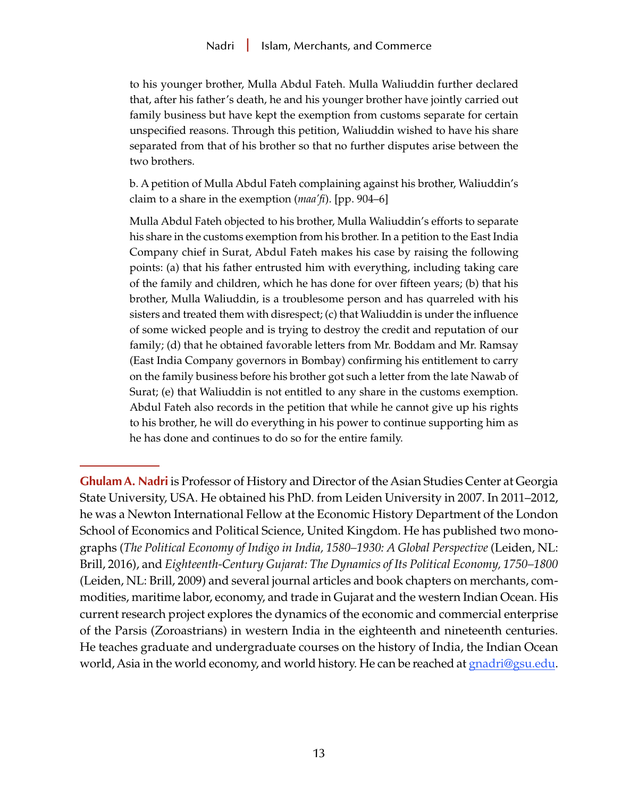to his younger brother, Mulla Abdul Fateh. Mulla Waliuddin further declared that, after his father's death, he and his younger brother have jointly carried out family business but have kept the exemption from customs separate for certain unspecified reasons. Through this petition, Waliuddin wished to have his share separated from that of his brother so that no further disputes arise between the two brothers.

b. A petition of Mulla Abdul Fateh complaining against his brother, Waliuddin's claim to a share in the exemption (*maa'fi*). [pp. 904–6]

Mulla Abdul Fateh objected to his brother, Mulla Waliuddin's efforts to separate his share in the customs exemption from his brother. In a petition to the East India Company chief in Surat, Abdul Fateh makes his case by raising the following points: (a) that his father entrusted him with everything, including taking care of the family and children, which he has done for over fifteen years; (b) that his brother, Mulla Waliuddin, is a troublesome person and has quarreled with his sisters and treated them with disrespect; (c) that Waliuddin is under the influence of some wicked people and is trying to destroy the credit and reputation of our family; (d) that he obtained favorable letters from Mr. Boddam and Mr. Ramsay (East India Company governors in Bombay) confirming his entitlement to carry on the family business before his brother got such a letter from the late Nawab of Surat; (e) that Waliuddin is not entitled to any share in the customs exemption. Abdul Fateh also records in the petition that while he cannot give up his rights to his brother, he will do everything in his power to continue supporting him as he has done and continues to do so for the entire family.

**Ghulam A. Nadri** is Professor of History and Director of the Asian Studies Center at Georgia State University, USA. He obtained his PhD. from Leiden University in 2007. In 2011–2012, he was a Newton International Fellow at the Economic History Department of the London School of Economics and Political Science, United Kingdom. He has published two monographs (*The Political Economy of Indigo in India, 1580–1930: A Global Perspective* (Leiden, NL: Brill, 2016), and *Eighteenth-Century Gujarat: The Dynamics of Its Political Economy, 1750–1800* (Leiden, NL: Brill, 2009) and several journal articles and book chapters on merchants, commodities, maritime labor, economy, and trade in Gujarat and the western Indian Ocean. His current research project explores the dynamics of the economic and commercial enterprise of the Parsis (Zoroastrians) in western India in the eighteenth and nineteenth centuries. He teaches graduate and undergraduate courses on the history of India, the Indian Ocean world, Asia in the world economy, and world history. He can be reached at [gnadri@gsu.edu](mailto:gnadri%40gsu.edu?subject=).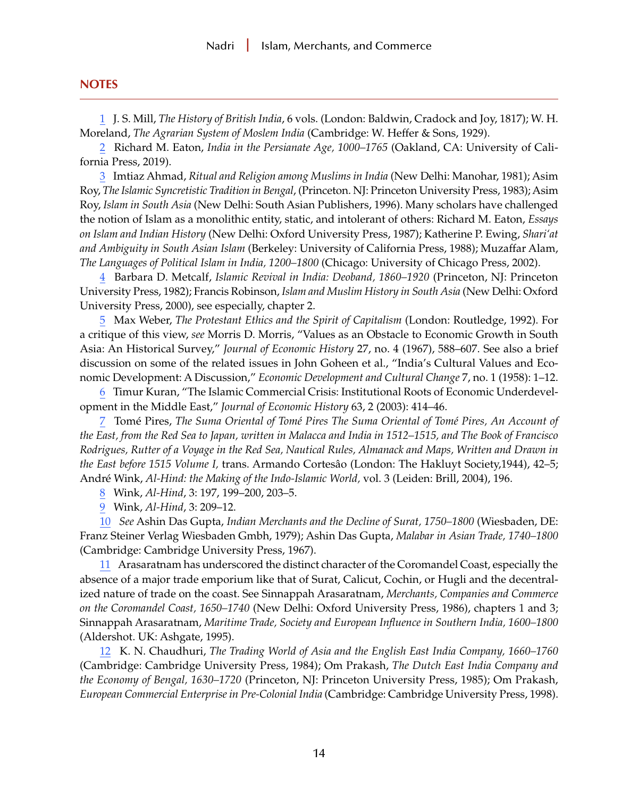#### <span id="page-13-0"></span>**NOTES**

[1](#page-0-0) J. S. Mill, *The History of British India*, 6 vols. (London: Baldwin, Cradock and Joy, 1817); W. H. Moreland, *The Agrarian System of Moslem India* (Cambridge: W. Heffer & Sons, 1929).

[2](#page-0-0) Richard M. Eaton, *India in the Persianate Age, 1000–1765* (Oakland, CA: University of California Press, 2019).

[3](#page-1-0) Imtiaz Ahmad, *Ritual and Religion among Muslims in India* (New Delhi: Manohar, 1981); Asim Roy, *The Islamic Syncretistic Tradition in Bengal*, (Princeton. NJ: Princeton University Press, 1983); Asim Roy, *Islam in South Asia* (New Delhi: South Asian Publishers, 1996). Many scholars have challenged the notion of Islam as a monolithic entity, static, and intolerant of others: Richard M. Eaton, *Essays on Islam and Indian History* (New Delhi: Oxford University Press, 1987); Katherine P. Ewing, *Shari'at and Ambiguity in South Asian Islam* (Berkeley: University of California Press, 1988); Muzaffar Alam, *The Languages of Political Islam in India, 1200–1800* (Chicago: University of Chicago Press, 2002).

[4](#page-1-0) Barbara D. Metcalf, *Islamic Revival in India: Deoband, 1860–1920* (Princeton, NJ: Princeton University Press, 1982); Francis Robinson, *Islam and Muslim History in South Asia* (New Delhi: Oxford University Press, 2000), see especially, chapter 2.

[5](#page-1-0) Max Weber, *The Protestant Ethics and the Spirit of Capitalism* (London: Routledge, 1992). For a critique of this view, *see* Morris D. Morris, "Values as an Obstacle to Economic Growth in South Asia: An Historical Survey," *Journal of Economic History* 27, no. 4 (1967), 588–607. See also a brief discussion on some of the related issues in John Goheen et al., "India's Cultural Values and Economic Development: A Discussion," *Economic Development and Cultural Change* 7, no. 1 (1958): 1–12.

[6](#page-1-0) Timur Kuran, "The Islamic Commercial Crisis: Institutional Roots of Economic Underdevelopment in the Middle East," *Journal of Economic History* 63, 2 (2003): 414–46.

[7](#page-2-0) Tomé Pires, *The Suma Oriental of Tomé Pires The Suma Oriental of Tomé Pires, An Account of the East, from the Red Sea to Japan, written in Malacca and India in 1512–1515, and The Book of Francisco Rodrigues, Rutter of a Voyage in the Red Sea, Nautical Rules, Almanack and Maps, Written and Drawn in the East before 1515 Volume I,* trans. Armando Cortesâo (London: The Hakluyt Society,1944), 42–5; André Wink, *Al-Hind: the Making of the Indo-Islamic World,* vol. 3 (Leiden: Brill, 2004), 196.

[8](#page-2-0) Wink, *Al-Hind*, 3: 197, 199–200, 203–5.

[9](#page-2-0) Wink, *Al-Hind*, 3: 209–12.

[10](#page-2-0) *See* Ashin Das Gupta, *Indian Merchants and the Decline of Surat, 1750–1800* (Wiesbaden, DE: Franz Steiner Verlag Wiesbaden Gmbh, 1979); Ashin Das Gupta, *Malabar in Asian Trade, 1740–1800* (Cambridge: Cambridge University Press, 1967).

[11](#page-2-0) Arasaratnam has underscored the distinct character of the Coromandel Coast, especially the absence of a major trade emporium like that of Surat, Calicut, Cochin, or Hugli and the decentralized nature of trade on the coast. See Sinnappah Arasaratnam, *Merchants, Companies and Commerce on the Coromandel Coast, 1650–1740* (New Delhi: Oxford University Press, 1986), chapters 1 and 3; Sinnappah Arasaratnam, *Maritime Trade, Society and European Influence in Southern India, 1600–1800* (Aldershot. UK: Ashgate, 1995).

[12](#page-2-0) K. N. Chaudhuri, *The Trading World of Asia and the English East India Company, 1660–1760* (Cambridge: Cambridge University Press, 1984); Om Prakash, *The Dutch East India Company and the Economy of Bengal, 1630–1720* (Princeton, NJ: Princeton University Press, 1985); Om Prakash, *European Commercial Enterprise in Pre-Colonial India* (Cambridge: Cambridge University Press, 1998).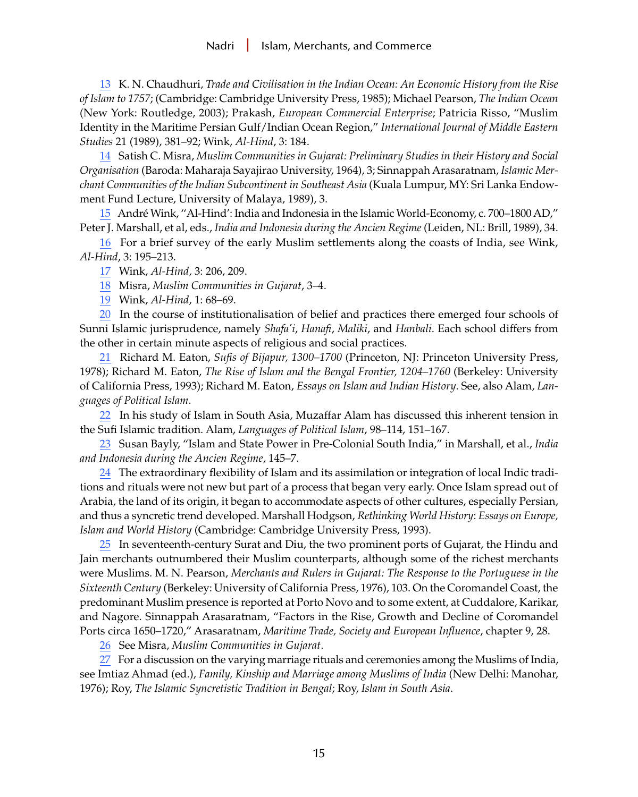<span id="page-14-0"></span>[13](#page-3-0) K. N. Chaudhuri, *Trade and Civilisation in the Indian Ocean: An Economic History from the Rise of Islam to 1757*; (Cambridge: Cambridge University Press, 1985); Michael Pearson, *The Indian Ocean* (New York: Routledge, 2003); Prakash, *European Commercial Enterprise*; Patricia Risso, "Muslim Identity in the Maritime Persian Gulf/Indian Ocean Region," *International Journal of Middle Eastern Studies* 21 (1989), 381–92; Wink, *Al-Hind*, 3: 184.

[14](#page-3-0) Satish C. Misra, *Muslim Communities in Gujarat: Preliminary Studies in their History and Social Organisation* (Baroda: Maharaja Sayajirao University, 1964), 3; Sinnappah Arasaratnam, *Islamic Merchant Communities of the Indian Subcontinent in Southeast Asia* (Kuala Lumpur, MY: Sri Lanka Endowment Fund Lecture, University of Malaya, 1989), 3.

[15](#page-3-0) André Wink, ''Al-Hind': India and Indonesia in the Islamic World-Economy, c. 700–1800 AD," Peter J. Marshall, et al, eds., *India and Indonesia during the Ancien Regime* (Leiden, NL: Brill, 1989), 34.

[16](#page-3-0) For a brief survey of the early Muslim settlements along the coasts of India, see Wink, *Al-Hind*, 3: 195–213.

[17](#page-3-0) Wink, *Al-Hind*, 3: 206, 209.

[18](#page-3-0) Misra, *Muslim Communities in Gujarat*, 3–4.

[19](#page-3-0) Wink, *Al-Hind*, 1: 68–69.

[20](#page-3-0) In the course of institutionalisation of belief and practices there emerged four schools of Sunni Islamic jurisprudence, namely *Shafa'i*, *Hanafi*, *Maliki*, and *Hanbali*. Each school differs from the other in certain minute aspects of religious and social practices.

[21](#page-4-0) Richard M. Eaton, *Sufis of Bijapur, 1300–1700* (Princeton, NJ: Princeton University Press, 1978); Richard M. Eaton, *The Rise of Islam and the Bengal Frontier, 1204–1760* (Berkeley: University of California Press, 1993); Richard M. Eaton, *Essays on Islam and Indian History*. See, also Alam, *Languages of Political Islam*.

[22](#page-4-0) In his study of Islam in South Asia, Muzaffar Alam has discussed this inherent tension in the Sufi Islamic tradition. Alam, *Languages of Political Islam*, 98–114, 151–167.

[23](#page-4-0) Susan Bayly, "Islam and State Power in Pre-Colonial South India," in Marshall, et al., *India and Indonesia during the Ancien Regime*, 145–7.

[24](#page-4-0) The extraordinary flexibility of Islam and its assimilation or integration of local Indic traditions and rituals were not new but part of a process that began very early. Once Islam spread out of Arabia, the land of its origin, it began to accommodate aspects of other cultures, especially Persian, and thus a syncretic trend developed. Marshall Hodgson, *Rethinking World History*: *Essays on Europe, Islam and World History* (Cambridge: Cambridge University Press, 1993).

[25](#page-4-0) In seventeenth-century Surat and Diu, the two prominent ports of Gujarat, the Hindu and Jain merchants outnumbered their Muslim counterparts, although some of the richest merchants were Muslims. M. N. Pearson, *Merchants and Rulers in Gujarat: The Response to the Portuguese in the Sixteenth Century* (Berkeley: University of California Press, 1976), 103. On the Coromandel Coast, the predominant Muslim presence is reported at Porto Novo and to some extent, at Cuddalore, Karikar, and Nagore. Sinnappah Arasaratnam, "Factors in the Rise, Growth and Decline of Coromandel Ports circa 1650–1720," Arasaratnam, *Maritime Trade, Society and European Influence*, chapter 9, 28.

[26](#page-4-0) See Misra, *Muslim Communities in Gujarat*.

[27](#page-4-0) For a discussion on the varying marriage rituals and ceremonies among the Muslims of India, see Imtiaz Ahmad (ed.), *Family, Kinship and Marriage among Muslims of India* (New Delhi: Manohar, 1976); Roy, *The Islamic Syncretistic Tradition in Bengal*; Roy, *Islam in South Asia*.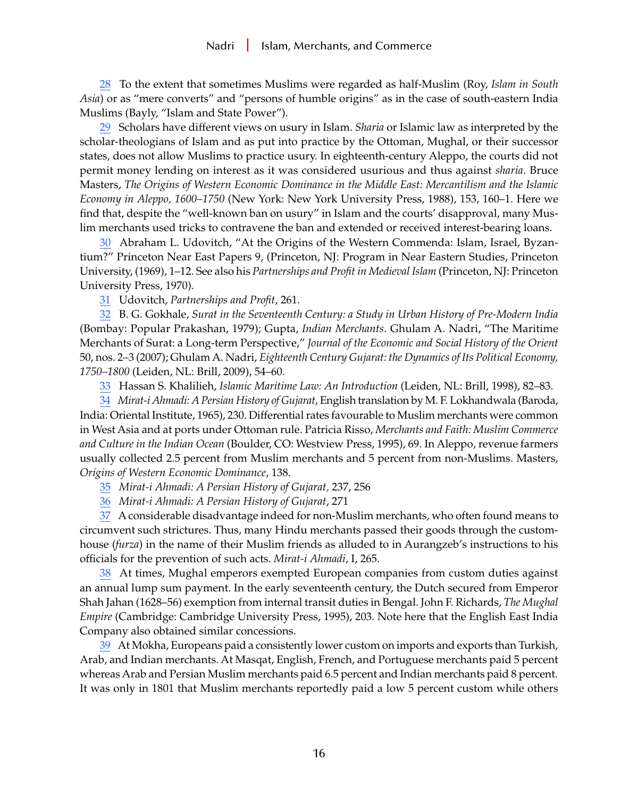<span id="page-15-0"></span>[28](#page-4-0) To the extent that sometimes Muslims were regarded as half-Muslim (Roy, *Islam in South Asia*) or as "mere converts" and "persons of humble origins" as in the case of south-eastern India Muslims (Bayly, "Islam and State Power").

[29](#page-4-0) Scholars have different views on usury in Islam. *Sharia* or Islamic law as interpreted by the scholar-theologians of Islam and as put into practice by the Ottoman, Mughal, or their successor states, does not allow Muslims to practice usury. In eighteenth-century Aleppo, the courts did not permit money lending on interest as it was considered usurious and thus against *sharia*. Bruce Masters, *The Origins of Western Economic Dominance in the Middle East: Mercantilism and the Islamic Economy in Aleppo, 1600–1750* (New York: New York University Press, 1988), 153, 160–1. Here we find that, despite the "well-known ban on usury" in Islam and the courts' disapproval, many Muslim merchants used tricks to contravene the ban and extended or received interest-bearing loans.

[30](#page-5-0) Abraham L. Udovitch, "At the Origins of the Western Commenda: Islam, Israel, Byzantium?" Princeton Near East Papers 9, (Princeton, NJ: Program in Near Eastern Studies, Princeton University, (1969), 1–12. See also his *Partnerships and Profit in Medieval Islam* (Princeton, NJ: Princeton University Press, 1970).

[31](#page-5-0) Udovitch, *Partnerships and Profit*, 261.

[32](#page-5-0) B. G. Gokhale, *Surat in the Seventeenth Century: a Study in Urban History of Pre-Modern India* (Bombay: Popular Prakashan, 1979); Gupta, *Indian Merchants*. Ghulam A. Nadri, "The Maritime Merchants of Surat: a Long-term Perspective," *Journal of the Economic and Social History of the Orient* 50, nos. 2–3 (2007); Ghulam A. Nadri, *Eighteenth Century Gujarat: the Dynamics of Its Political Economy, 1750–1800* (Leiden, NL: Brill, 2009), 54–60.

[33](#page-5-0) Hassan S. Khalilieh, *Islamic Maritime Law: An Introduction* (Leiden, NL: Brill, 1998), 82–83.

[34](#page-6-0) *Mirat-i Ahmadi: A Persian History of Gujarat*, English translation by M. F. Lokhandwala (Baroda, India: Oriental Institute, 1965), 230. Differential rates favourable to Muslim merchants were common in West Asia and at ports under Ottoman rule. Patricia Risso, *Merchants and Faith: Muslim Commerce and Culture in the Indian Ocean* (Boulder, CO: Westview Press, 1995), 69. In Aleppo, revenue farmers usually collected 2.5 percent from Muslim merchants and 5 percent from non-Muslims. Masters, *Origins of Western Economic Dominance*, 138.

[35](#page-6-0) *Mirat-i Ahmadi: A Persian History of Gujarat,* 237, 256

[36](#page-6-0) *Mirat-i Ahmadi: A Persian History of Gujarat*, 271

[37](#page-6-0) A considerable disadvantage indeed for non-Muslim merchants, who often found means to circumvent such strictures. Thus, many Hindu merchants passed their goods through the customhouse (*furza*) in the name of their Muslim friends as alluded to in Aurangzeb's instructions to his officials for the prevention of such acts. *Mirat-i Ahmadi*, I, 265.

[38](#page-6-0) At times, Mughal emperors exempted European companies from custom duties against an annual lump sum payment. In the early seventeenth century, the Dutch secured from Emperor Shah Jahan (1628–56) exemption from internal transit duties in Bengal. John F. Richards, *The Mughal Empire* (Cambridge: Cambridge University Press, 1995), 203. Note here that the English East India Company also obtained similar concessions.

[39](#page-6-0) At Mokha, Europeans paid a consistently lower custom on imports and exports than Turkish, Arab, and Indian merchants. At Masqat, English, French, and Portuguese merchants paid 5 percent whereas Arab and Persian Muslim merchants paid 6.5 percent and Indian merchants paid 8 percent. It was only in 1801 that Muslim merchants reportedly paid a low 5 percent custom while others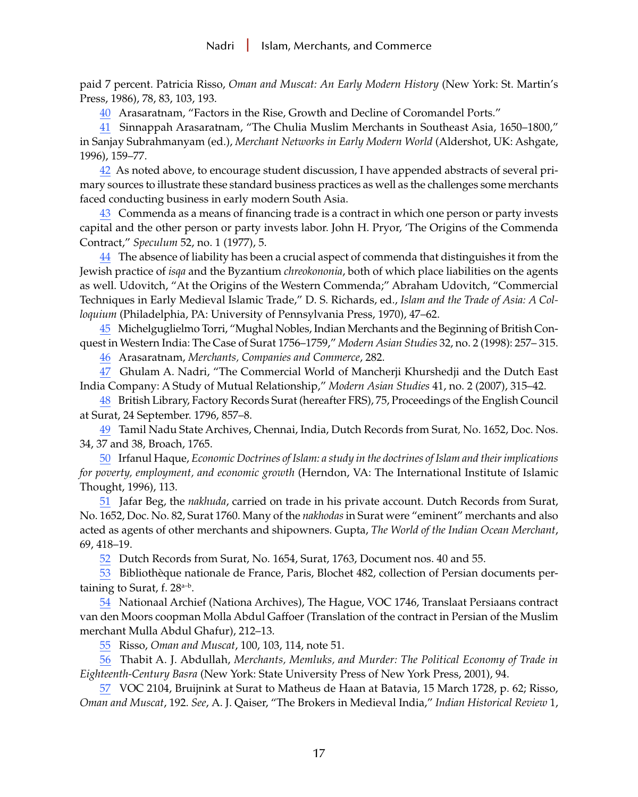<span id="page-16-0"></span>paid 7 percent. Patricia Risso, *Oman and Muscat: An Early Modern History* (New York: St. Martin's Press, 1986), 78, 83, 103, 193.

[40](#page-6-0) Arasaratnam, "Factors in the Rise, Growth and Decline of Coromandel Ports."

[41](#page-6-0) Sinnappah Arasaratnam, "The Chulia Muslim Merchants in Southeast Asia, 1650–1800," in Sanjay Subrahmanyam (ed.), *Merchant Networks in Early Modern World* (Aldershot, UK: Ashgate, 1996), 159–77.

[42](#page-6-0) As noted above, to encourage student discussion, I have appended abstracts of several primary sources to illustrate these standard business practices as well as the challenges some merchants faced conducting business in early modern South Asia.

[43](#page-6-0) Commenda as a means of financing trade is a contract in which one person or party invests capital and the other person or party invests labor. John H. Pryor, 'The Origins of the Commenda Contract," *Speculum* 52, no. 1 (1977), 5.

[44](#page-6-0) The absence of liability has been a crucial aspect of commenda that distinguishes it from the Jewish practice of *isqa* and the Byzantium *chreokononia*, both of which place liabilities on the agents as well. Udovitch, "At the Origins of the Western Commenda;" Abraham Udovitch, "Commercial Techniques in Early Medieval Islamic Trade," D. S. Richards, ed., *Islam and the Trade of Asia: A Colloquium* (Philadelphia, PA: University of Pennsylvania Press, 1970), 47–62.

[45](#page-6-0) Michelguglielmo Torri, "Mughal Nobles, Indian Merchants and the Beginning of British Conquest in Western India: The Case of Surat 1756–1759," *Modern Asian Studies* 32, no. 2 (1998): 257– 315.

[46](#page-7-0) Arasaratnam, *Merchants, Companies and Commerce*, 282.

[47](#page-7-0) Ghulam A. Nadri, "The Commercial World of Mancherji Khurshedji and the Dutch East India Company: A Study of Mutual Relationship," *Modern Asian Studies* 41, no. 2 (2007), 315–42.

[48](#page-7-0) British Library, Factory Records Surat (hereafter FRS), 75, Proceedings of the English Council at Surat, 24 September. 1796, 857–8.

[49](#page-7-0) Tamil Nadu State Archives, Chennai, India, Dutch Records from Surat*,* No. 1652, Doc. Nos. 34, 37 and 38, Broach, 1765.

[50](#page-7-0) Irfanul Haque, *Economic Doctrines of Islam: a study in the doctrines of Islam and their implications for poverty, employment, and economic growth* (Herndon, VA: The International Institute of Islamic Thought, 1996), 113.

[51](#page-7-0) Jafar Beg, the *nakhuda*, carried on trade in his private account. Dutch Records from Surat, No. 1652, Doc. No. 82, Surat 1760. Many of the *nakhodas* in Surat were "eminent" merchants and also acted as agents of other merchants and shipowners. Gupta, *The World of the Indian Ocean Merchant*, 69, 418–19.

[52](#page-8-0) Dutch Records from Surat, No. 1654, Surat, 1763, Document nos. 40 and 55.

[53](#page-8-0) Bibliothèque nationale de France, Paris, Blochet 482, collection of Persian documents pertaining to Surat, f.  $28^{a-b}$ .

[54](#page-8-0) Nationaal Archief (Nationa Archives), The Hague, VOC 1746, Translaat Persiaans contract van den Moors coopman Molla Abdul Gaffoer (Translation of the contract in Persian of the Muslim merchant Mulla Abdul Ghafur), 212–13.

[55](#page-8-0) Risso, *Oman and Muscat*, 100, 103, 114, note 51.

[56](#page-8-0) Thabit A. J. Abdullah, *Merchants, Memluks, and Murder: The Political Economy of Trade in Eighteenth-Century Basra* (New York: State University Press of New York Press, 2001), 94.

[57](#page-8-0) VOC 2104, Bruijnink at Surat to Matheus de Haan at Batavia, 15 March 1728, p. 62; Risso, *Oman and Muscat*, 192. *See*, A. J. Qaiser, "The Brokers in Medieval India," *Indian Historical Review* 1,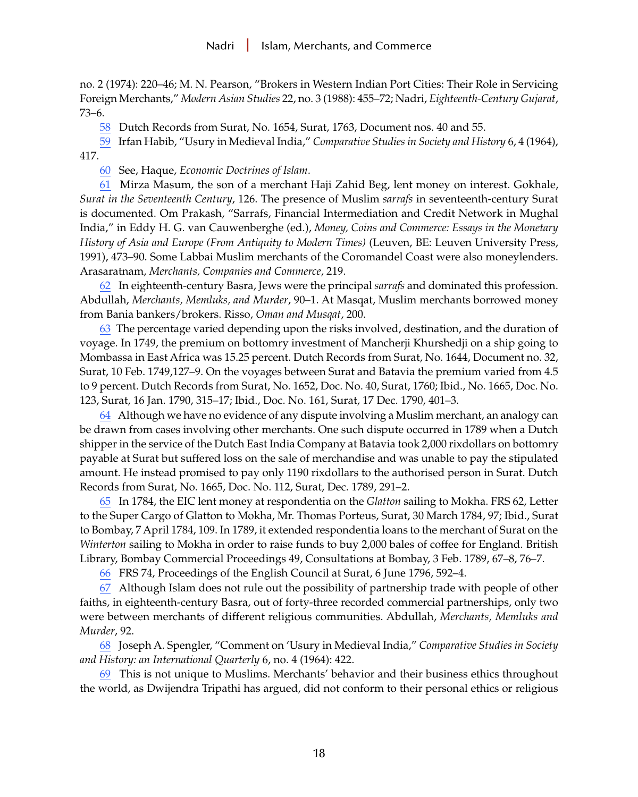<span id="page-17-0"></span>no. 2 (1974): 220–46; M. N. Pearson, "Brokers in Western Indian Port Cities: Their Role in Servicing Foreign Merchants," *Modern Asian Studies* 22, no. 3 (1988): 455–72; Nadri, *Eighteenth-Century Gujarat*, 73–6.

[58](#page-8-0) Dutch Records from Surat, No. 1654, Surat, 1763, Document nos. 40 and 55.

[59](#page-8-0) Irfan Habib, "Usury in Medieval India," *Comparative Studies in Society and History* 6, 4 (1964), 417.

[60](#page-8-0) See, Haque, *Economic Doctrines of Islam*.

[61](#page-8-0) Mirza Masum, the son of a merchant Haji Zahid Beg, lent money on interest. Gokhale, *Surat in the Seventeenth Century*, 126. The presence of Muslim *sarrafs* in seventeenth-century Surat is documented. Om Prakash, "Sarrafs, Financial Intermediation and Credit Network in Mughal India," in Eddy H. G. van Cauwenberghe (ed.), *Money, Coins and Commerce: Essays in the Monetary History of Asia and Europe (From Antiquity to Modern Times)* (Leuven, BE: Leuven University Press, 1991), 473–90. Some Labbai Muslim merchants of the Coromandel Coast were also moneylenders. Arasaratnam, *Merchants, Companies and Commerce*, 219.

[62](#page-9-0) In eighteenth-century Basra, Jews were the principal *sarrafs* and dominated this profession. Abdullah, *Merchants, Memluks, and Murder*, 90–1. At Masqat, Muslim merchants borrowed money from Bania bankers/brokers. Risso, *Oman and Musqat*, 200.

[63](#page-9-0) The percentage varied depending upon the risks involved, destination, and the duration of voyage. In 1749, the premium on bottomry investment of Mancherji Khurshedji on a ship going to Mombassa in East Africa was 15.25 percent. Dutch Records from Surat, No. 1644, Document no. 32, Surat, 10 Feb. 1749,127–9. On the voyages between Surat and Batavia the premium varied from 4.5 to 9 percent. Dutch Records from Surat, No. 1652, Doc. No. 40, Surat, 1760; Ibid., No. 1665, Doc. No. 123, Surat, 16 Jan. 1790, 315–17; Ibid., Doc. No. 161, Surat, 17 Dec. 1790, 401–3.

[64](#page-9-0) Although we have no evidence of any dispute involving a Muslim merchant, an analogy can be drawn from cases involving other merchants. One such dispute occurred in 1789 when a Dutch shipper in the service of the Dutch East India Company at Batavia took 2,000 rixdollars on bottomry payable at Surat but suffered loss on the sale of merchandise and was unable to pay the stipulated amount. He instead promised to pay only 1190 rixdollars to the authorised person in Surat. Dutch Records from Surat, No. 1665, Doc. No. 112, Surat, Dec. 1789, 291–2.

[65](#page-9-0) In 1784, the EIC lent money at respondentia on the *Glatton* sailing to Mokha. FRS 62, Letter to the Super Cargo of Glatton to Mokha, Mr. Thomas Porteus, Surat, 30 March 1784, 97; Ibid., Surat to Bombay, 7 April 1784, 109. In 1789, it extended respondentia loans to the merchant of Surat on the *Winterton* sailing to Mokha in order to raise funds to buy 2,000 bales of coffee for England. British Library, Bombay Commercial Proceedings 49, Consultations at Bombay, 3 Feb. 1789, 67–8, 76–7.

[66](#page-9-0) FRS 74, Proceedings of the English Council at Surat, 6 June 1796, 592–4.

[67](#page-10-0) Although Islam does not rule out the possibility of partnership trade with people of other faiths, in eighteenth-century Basra, out of forty-three recorded commercial partnerships, only two were between merchants of different religious communities. Abdullah, *Merchants, Memluks and Murder*, 92.

[68](#page-10-0) Joseph A. Spengler, "Comment on 'Usury in Medieval India," *Comparative Studies in Society and History: an International Quarterly* 6, no. 4 (1964): 422.

[69](#page-10-0) This is not unique to Muslims. Merchants' behavior and their business ethics throughout the world, as Dwijendra Tripathi has argued, did not conform to their personal ethics or religious